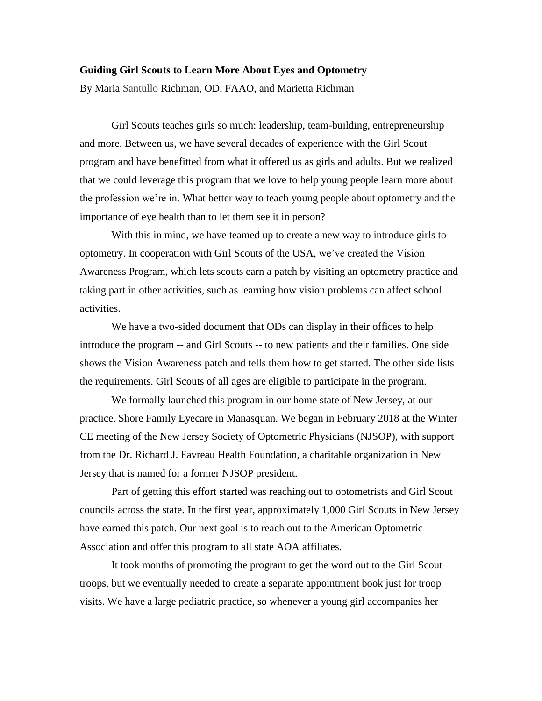## **Guiding Girl Scouts to Learn More About Eyes and Optometry**

By Maria Santullo Richman, OD, FAAO, and Marietta Richman

Girl Scouts teaches girls so much: leadership, team-building, entrepreneurship and more. Between us, we have several decades of experience with the Girl Scout program and have benefitted from what it offered us as girls and adults. But we realized that we could leverage this program that we love to help young people learn more about the profession we're in. What better way to teach young people about optometry and the importance of eye health than to let them see it in person?

With this in mind, we have teamed up to create a new way to introduce girls to optometry. In cooperation with Girl Scouts of the USA, we've created the Vision Awareness Program, which lets scouts earn a patch by visiting an optometry practice and taking part in other activities, such as learning how vision problems can affect school activities.

We have a two-sided document that ODs can display in their offices to help introduce the program -- and Girl Scouts -- to new patients and their families. One side shows the Vision Awareness patch and tells them how to get started. The other side lists the requirements. Girl Scouts of all ages are eligible to participate in the program.

We formally launched this program in our home state of New Jersey, at our practice, Shore Family Eyecare in Manasquan. We began in February 2018 at the Winter CE meeting of the New Jersey Society of Optometric Physicians (NJSOP), with support from the Dr. Richard J. Favreau Health Foundation, a charitable organization in New Jersey that is named for a former NJSOP president.

Part of getting this effort started was reaching out to optometrists and Girl Scout councils across the state. In the first year, approximately 1,000 Girl Scouts in New Jersey have earned this patch. Our next goal is to reach out to the American Optometric Association and offer this program to all state AOA affiliates.

It took months of promoting the program to get the word out to the Girl Scout troops, but we eventually needed to create a separate appointment book just for troop visits. We have a large pediatric practice, so whenever a young girl accompanies her